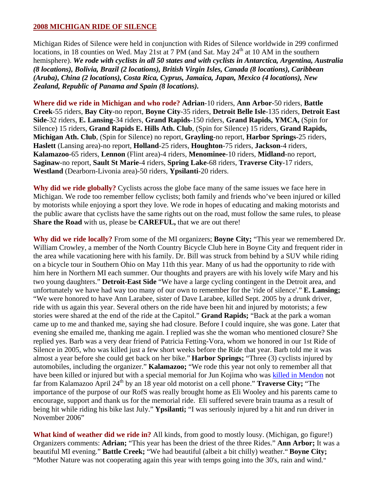## **2008 MICHIGAN RIDE OF SILENCE**

Michigan Rides of Silence were held in conjunction with Rides of Silence worldwide in 299 confirmed locations, in 18 counties on Wed. May 21st at 7 PM (and Sat. May  $24<sup>th</sup>$  at 10 AM in the southern hemisphere). *We rode with cyclists in all 50 states and with cyclists in Antarctica, Argentina, Australia (8 locations), Bolivia, Brazil (2 locations), British Virgin Isles, Canada (8 locations), Caribbean (Aruba), China (2 locations), Costa Rica, Cyprus, Jamaica, Japan, Mexico (4 locations), New Zealand, Republic of Panama and Spain (8 locations).*

**Where did we ride in Michigan and who rode? Adrian**-10 riders, **Ann Arbor**-50 riders, **Battle Creek**-55 riders, **Bay City**-no report, **Boyne City**-35 riders, **Detroit Belle Isle**-135 riders, **Detroit East Side**-32 riders, **E. Lansing**-34 riders, **Grand Rapids**-150 riders, **Grand Rapids, YMCA,** (Spin for Silence) 15 riders, **Grand Rapids E. Hills Ath. Club**, (Spin for Silence) 15 riders, **Grand Rapids, Michigan Ath. Club**, (Spin for Silence) no report, **Grayling**-no report, **Harbor Springs**-25 riders, **Haslett** (Lansing area)-no report, **Holland**-25 riders, **Houghton**-75 riders, **Jackson**-4 riders, **Kalamazoo**-65 riders, **Lennon** (Flint area)-4 riders, **Menominee**-10 riders, **Midland**-no report, **Saginaw**-no report, **Sault St Marie**-4 riders, **Spring Lake**-68 riders, **Traverse City**-17 riders, **Westland** (Dearborn-Livonia area)-50 riders, **Ypsilanti**-20 riders.

**Why did we ride globally?** Cyclists across the globe face many of the same issues we face here in Michigan. We rode too remember fellow cyclists; both family and friends who've been injured or killed by motorists while enjoying a sport they love. We rode in hopes of educating and making motorists and the public aware that cyclists have the same rights out on the road, must follow the same rules, to please **Share the Road** with us, please be **CAREFUL,** that we are out there!

**Why did we ride locally?** From some of the MI organizers; **Boyne City;** "This year we remembered Dr. William Crowley, a member of the North Country Bicycle Club here in Boyne City and frequent rider in the area while vacationing here with his family. Dr. Bill was struck from behind by a SUV while riding on a bicycle tour in Southern Ohio on May 11th this year. Many of us had the opportunity to ride with him here in Northern MI each summer. Our thoughts and prayers are with his lovely wife Mary and his two young daughters." **Detroit-East Side** "We have a large cycling contingent in the Detroit area, and unfortunately we have had way too many of our own to remember for the 'ride of silence'." **E. Lansing;** "We were honored to have Ann Larabee, sister of Dave Larabee, killed Sept. 2005 by a drunk driver, ride with us again this year. Several others on the ride have been hit and injured by motorists; a few stories were shared at the end of the ride at the Capitol." **Grand Rapids;** "Back at the park a woman came up to me and thanked me, saying she had closure. Before I could inquire, she was gone. Later that evening she emailed me, thanking me again. I replied was she the woman who mentioned closure? She replied yes. Barb was a very dear friend of Patricia Fetting-Vora, whom we honored in our 1st Ride of Silence in 2005, who was killed just a few short weeks before the Ride that year. Barb told me it was almost a year before she could get back on her bike." **Harbor Springs;** "Three (3) cyclists injured by automobiles, including the organizer." **Kalamazoo;** "We rode this year not only to remember all that have been killed or injured but with a special memorial for Jun Kojima who was [killed in Mendon](http://www.wwmt.com/news/mendon_1348849___article.html/bicyclist_killed.html) not far from Kalamazoo April 24<sup>th</sup> by an 18 year old motorist on a cell phone." **Traverse City;** "The importance of the purpose of our RofS was really brought home as Eli Wooley and his parents came to encourage, support and thank us for the memorial ride. Eli suffered severe brain trauma as a result of being hit while riding his bike last July." **Ypsilanti;** "I was seriously injured by a hit and run driver in November 2006"

**What kind of weather did we ride in?** All kinds, from good to mostly lousy. (Michigan, go figure!) Organizers comments: **Adrian;** "This year has been the driest of the three Rides." **Ann Arbor;** It was a beautiful MI evening." **Battle Creek;** "We had beautiful (albeit a bit chilly) weather." **Boyne City;** "Mother Nature was not cooperating again this year with temps going into the 30's, rain and wind."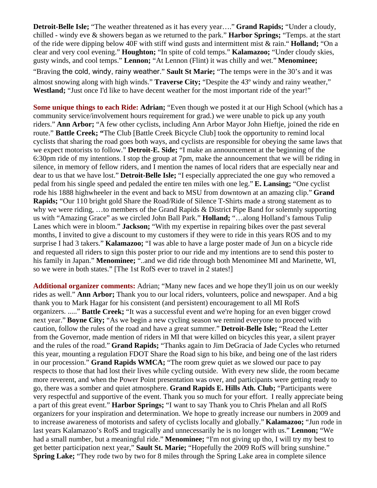**Detroit-Belle Isle;** "The weather threatened as it has every year…." **Grand Rapids;** "Under a cloudy, chilled - windy eve & showers began as we returned to the park." **Harbor Springs;** "Temps. at the start of the ride were dipping below 40F with stiff wind gusts and intermittent mist & rain." **Holland;** "On a clear and very cool evening." **Houghton;** "In spite of cold temps." **Kalamazoo;** "Under cloudy skies, gusty winds, and cool temps." **Lennon;** "At Lennon (Flint) it was chilly and wet." **Menominee;** "Braving the cold, windy, rainy weather." **Sault St Marie;** "The temps were in the 30's and it was almost snowing along with high winds." **Traverse City;** "Despite the 43º windy and rainy weather," **Westland;** "Just once I'd like to have decent weather for the most important ride of the year!"

**Some unique things to each Ride: Adrian;** "Even though we posted it at our High School (which has a community service/involvement hours requirement for grad.) we were unable to pick up any youth riders." **Ann Arbor;** "A few other cyclists, including Ann Arbor Mayor John Hieftje, joined the ride en route." **Battle Creek; "**The Club [Battle Creek Bicycle Club] took the opportunity to remind local cyclists that sharing the road goes both ways, and cyclists are responsible for obeying the same laws that we expect motorists to follow." **Detroit-E. Side;** "I make an announcement at the beginning of the 6:30pm ride of my intentions. I stop the group at 7pm, make the announcement that we will be riding in silence, in memory of fellow riders, and I mention the names of local riders that are especially near and dear to us that we have lost." **Detroit-Belle Isle;** "I especially appreciated the one guy who removed a pedal from his single speed and pedaled the entire ten miles with one leg." **E. Lansing;** "One cyclist rode his 1888 highwheeler in the event and back to MSU from downtown at an amazing clip." **Grand Rapids;** "Our 110 bright gold Share the Road/Ride of Silence T-Shirts made a strong statement as to why we were riding, …to members of the Grand Rapids & District Pipe Band for solemnly supporting us with "Amazing Grace" as we circled John Ball Park." **Holland;** "…along Holland's famous Tulip Lanes which were in bloom." **Jackson;** "With my expertise in repairing bikes over the past several months, I invited to give a discount to my customers if they were to ride in this years ROS and to my surprise I had 3 takers." **Kalamazoo;** "I was able to have a large poster made of Jun on a bicycle ride and requested all riders to sign this poster prior to our ride and my intentions are to send this poster to his family in Japan." **Menominee;** "..and we did ride through both Menominee MI and Marinette, WI, so we were in both states." [The 1st RofS ever to travel in 2 states!]

**Additional organizer comments:** Adrian; "Many new faces and we hope they'll join us on our weekly rides as well." **Ann Arbor;** Thank you to our local riders, volunteers, police and newspaper. And a big thank you to Mark Hagar for his consistent (and persistent) encouragement to all MI RofS organizers. ....." **Battle Creek;** "It was a successful event and we're hoping for an even bigger crowd next year." **Boyne City;** "As we begin a new cycling season we remind everyone to proceed with caution, follow the rules of the road and have a great summer." **Detroit-Belle Isle;** "Read the Letter from the Governor, made mention of riders in MI that were killed on bicycles this year, a silent prayer and the rules of the road." **Grand Rapids;** "Thanks again to Jim DeGracia of Jade Cycles who returned this year, mounting a regulation FDOT Share the Road sign to his bike, and being one of the last riders in our procession." **Grand Rapids WMCA;** "The room grew quiet as we slowed our pace to pay respects to those that had lost their lives while cycling outside. With every new slide, the room became more reverent, and when the Power Point presentation was over, and participants were getting ready to go, there was a somber and quiet atmosphere. **Grand Rapids E. Hills Ath. Club;** "Participants were very respectful and supportive of the event. Thank you so much for your effort. I really appreciate being a part of this great event." **Harbor Springs;** "I want to say Thank you to Chris Phelan and all RofS organizers for your inspiration and determination. We hope to greatly increase our numbers in 2009 and to increase awareness of motorists and safety of cyclists locally and globally." **Kalamazoo;** "Jun rode in last years Kalamazoo's RofS and tragically and unnecessarily he is no longer with us." **Lennon;** "We had a small number, but a meaningful ride." **Menominee;** "I'm not giving up tho, I will try my best to get better participation next year," **Sault St. Marie;** "Hopefully the 2009 RofS will bring sunshine." **Spring Lake;** "They rode two by two for 8 miles through the Spring Lake area in complete silence